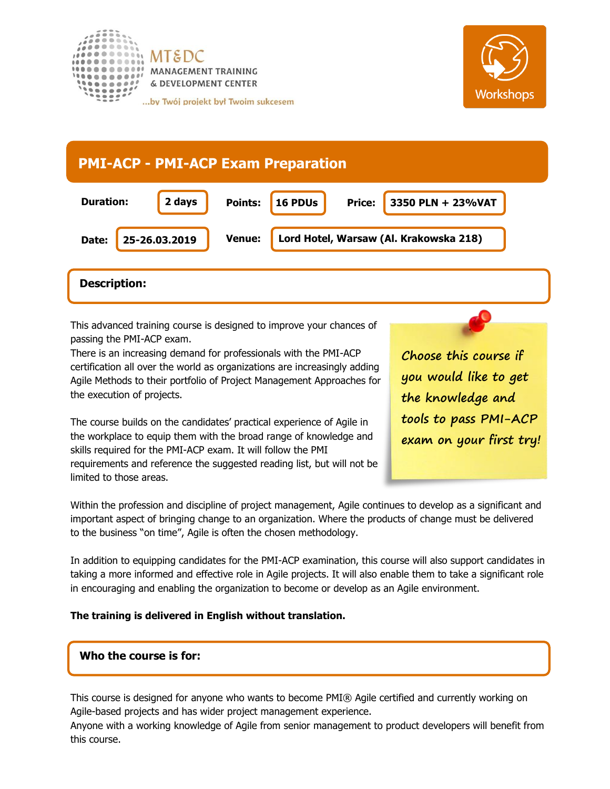



# 16 PDUs **Price: PMI-ACP - PMI-ACP Exam Preparation Duration: Date: 25-26.03.2019 Points: 16 PDUs Price: 3350 PLN + 23%VAT Venue: Lord Hotel, Warsaw (Al. Krakowska 218) 2 days**

# **Description:**

This advanced training course is designed to improve your chances of passing the PMI-ACP exam.

There is an increasing demand for professionals with the PMI-ACP certification all over the world as organizations are increasingly adding Agile Methods to their portfolio of Project Management Approaches for the execution of projects.

The course builds on the candidates' practical experience of Agile in the workplace to equip them with the broad range of knowledge and skills required for the PMI-ACP exam. It will follow the PMI requirements and reference the suggested reading list, but will not be limited to those areas.

**Choose this course if you would like to get the knowledge and tools to pass PMI-ACP exam on your first try!**

Within the profession and discipline of project management, Agile continues to develop as a significant and important aspect of bringing change to an organization. Where the products of change must be delivered to the business "on time", Agile is often the chosen methodology.

In addition to equipping candidates for the PMI-ACP examination, this course will also support candidates in taking a more informed and effective role in Agile projects. It will also enable them to take a significant role in encouraging and enabling the organization to become or develop as an Agile environment.

#### **The training is delivered in English without translation.**

## **Who the course is for:**

This course is designed for anyone who wants to become PMI® Agile certified and currently working on Agile-based projects and has wider project management experience.

Anyone with a working knowledge of Agile from senior management to product developers will benefit from this course.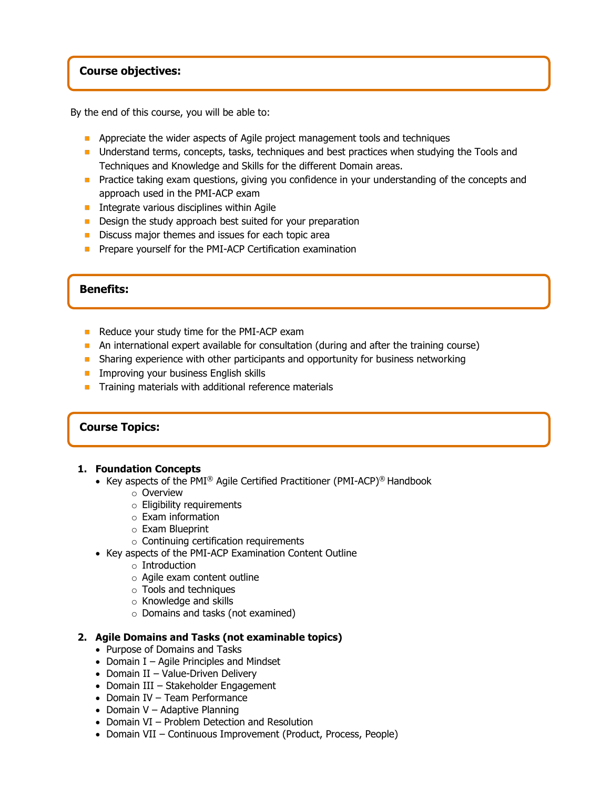#### **Course objectives:**

By the end of this course, you will be able to:

- **Appreciate the wider aspects of Agile project management tools and techniques**
- **Understand terms, concepts, tasks, techniques and best practices when studying the Tools and** Techniques and Knowledge and Skills for the different Domain areas.
- **Practice taking exam questions, giving you confidence in your understanding of the concepts and** approach used in the PMI-ACP exam
- Integrate various disciplines within Agile
- **Design the study approach best suited for your preparation**
- Discuss major themes and issues for each topic area
- **Prepare yourself for the PMI-ACP Certification examination**

#### **Benefits:**

- Reduce your study time for the PMI-ACP exam
- An international expert available for consultation (during and after the training course)
- **Sharing experience with other participants and opportunity for business networking**
- **Improving your business English skills**
- $\blacksquare$  Training materials with additional reference materials

#### **Course Topics:**

#### **1. Foundation Concepts**

- Key aspects of the PMI® Agile Certified Practitioner (PMI-ACP)® Handbook
	- o Overview
	- o Eligibility requirements
	- o Exam information
	- o Exam Blueprint
	- o Continuing certification requirements
- Key aspects of the PMI-ACP Examination Content Outline
	- o Introduction
	- o Agile exam content outline
	- o Tools and techniques
	- o Knowledge and skills
	- o Domains and tasks (not examined)

#### **2. Agile Domains and Tasks (not examinable topics)**

- Purpose of Domains and Tasks
- Domain I Agile Principles and Mindset
- Domain II Value-Driven Delivery
- Domain III Stakeholder Engagement
- Domain IV Team Performance
- Domain V Adaptive Planning
- Domain VI Problem Detection and Resolution
- Domain VII Continuous Improvement (Product, Process, People)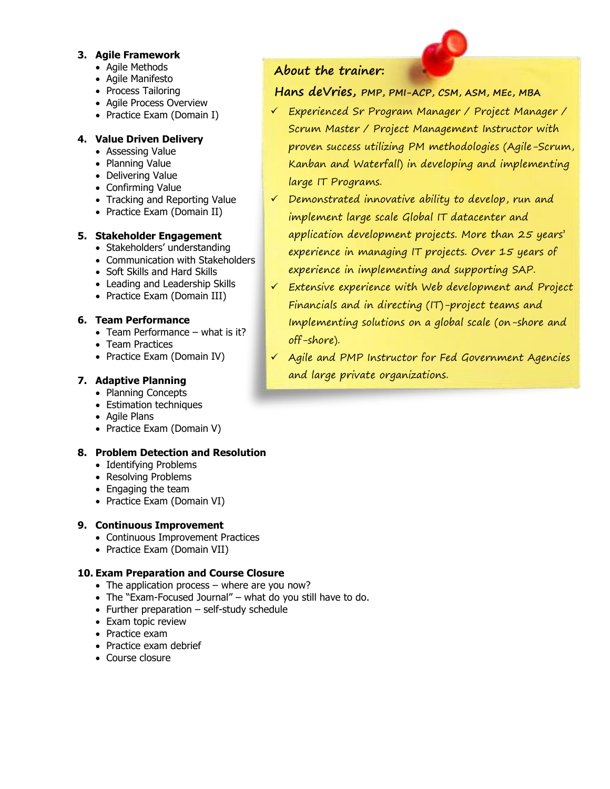#### **3. Agile Framework**

- Agile Methods
- Agile Manifesto
- Process Tailoring
- Agile Process Overview
- Practice Exam (Domain I)

### **4. Value Driven Delivery**

- Assessing Value
- Planning Value
- Delivering Value
- Confirming Value
- Tracking and Reporting Value
- Practice Exam (Domain II)

#### **5. Stakeholder Engagement**

- Stakeholders' understanding
- Communication with Stakeholders
- Soft Skills and Hard Skills
- Leading and Leadership Skills
- Practice Exam (Domain III)

#### **6. Team Performance**

- Team Performance what is it?
- Team Practices
- Practice Exam (Domain IV)

### **7. Adaptive Planning**

- Planning Concepts
- Estimation techniques
- Agile Plans
- Practice Exam (Domain V)

#### **8. Problem Detection and Resolution**

- Identifying Problems
- Resolving Problems
- Engaging the team
- Practice Exam (Domain VI)

#### **9. Continuous Improvement**

- Continuous Improvement Practices
- Practice Exam (Domain VII)

#### **10. Exam Preparation and Course Closure**

- The application process where are you now?
- The "Exam-Focused Journal" what do you still have to do.
- Further preparation self-study schedule
- Exam topic review
- Practice exam
- Practice exam debrief
- Course closure

# **About the trainer:**

# **Hans deVries, PMP, PMI-ACP, CSM, ASM, MEc, MBA**

- ✓ Experienced Sr Program Manager / Project Manager / Scrum Master / Project Management Instructor with proven success utilizing PM methodologies (Agile-Scrum, Kanban and Waterfall) in developing and implementing large IT Programs.
- ✓ Demonstrated innovative ability to develop, run and implement large scale Global IT datacenter and application development projects. More than 25 years' experience in managing IT projects. Over 15 years of experience in implementing and supporting SAP.
- ✓ Extensive experience with Web development and Project Financials and in directing (IT)-project teams and Implementing solutions on a global scale (on-shore and off-shore).
- ✓ Agile and PMP Instructor for Fed Government Agencies and large private organizations.